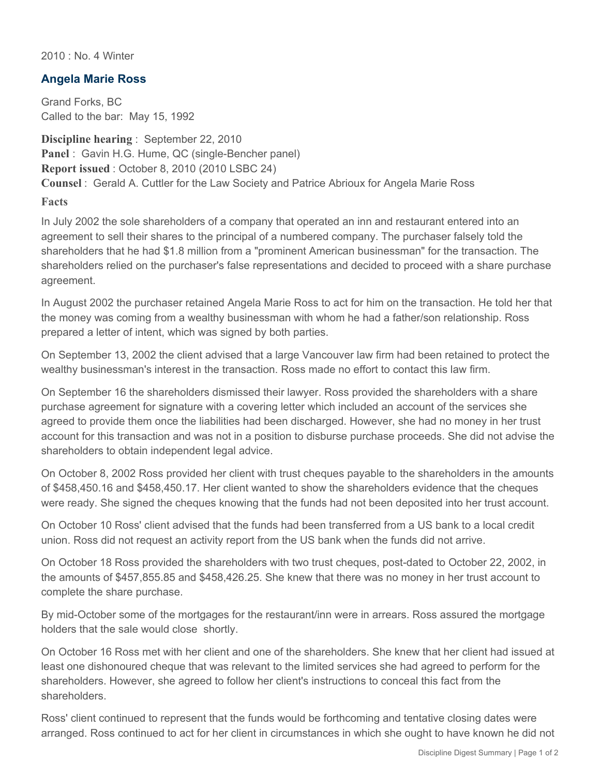2010 : No. 4 Winter

## **Angela Marie Ross**

Grand Forks, BC Called to the bar: May 15, 1992

**Discipline hearing** : September 22, 2010 **Panel** : Gavin H.G. Hume, QC (single-Bencher panel) **Report issued** : October 8, 2010 (2010 LSBC 24) **Counsel** : Gerald A. Cuttler for the Law Society and Patrice Abrioux for Angela Marie Ross **Facts**

In July 2002 the sole shareholders of a company that operated an inn and restaurant entered into an agreement to sell their shares to the principal of a numbered company. The purchaser falsely told the shareholders that he had \$1.8 million from a "prominent American businessman" for the transaction. The shareholders relied on the purchaser's false representations and decided to proceed with a share purchase agreement.

In August 2002 the purchaser retained Angela Marie Ross to act for him on the transaction. He told her that the money was coming from a wealthy businessman with whom he had a father/son relationship. Ross prepared a letter of intent, which was signed by both parties.

On September 13, 2002 the client advised that a large Vancouver law firm had been retained to protect the wealthy businessman's interest in the transaction. Ross made no effort to contact this law firm.

On September 16 the shareholders dismissed their lawyer. Ross provided the shareholders with a share purchase agreement for signature with a covering letter which included an account of the services she agreed to provide them once the liabilities had been discharged. However, she had no money in her trust account for this transaction and was not in a position to disburse purchase proceeds. She did not advise the shareholders to obtain independent legal advice.

On October 8, 2002 Ross provided her client with trust cheques payable to the shareholders in the amounts of \$458,450.16 and \$458,450.17. Her client wanted to show the shareholders evidence that the cheques were ready. She signed the cheques knowing that the funds had not been deposited into her trust account.

On October 10 Ross' client advised that the funds had been transferred from a US bank to a local credit union. Ross did not request an activity report from the US bank when the funds did not arrive.

On October 18 Ross provided the shareholders with two trust cheques, post-dated to October 22, 2002, in the amounts of \$457,855.85 and \$458,426.25. She knew that there was no money in her trust account to complete the share purchase.

By mid-October some of the mortgages for the restaurant/inn were in arrears. Ross assured the mortgage holders that the sale would close shortly.

On October 16 Ross met with her client and one of the shareholders. She knew that her client had issued at least one dishonoured cheque that was relevant to the limited services she had agreed to perform for the shareholders. However, she agreed to follow her client's instructions to conceal this fact from the shareholders.

Ross' client continued to represent that the funds would be forthcoming and tentative closing dates were arranged. Ross continued to act for her client in circumstances in which she ought to have known he did not